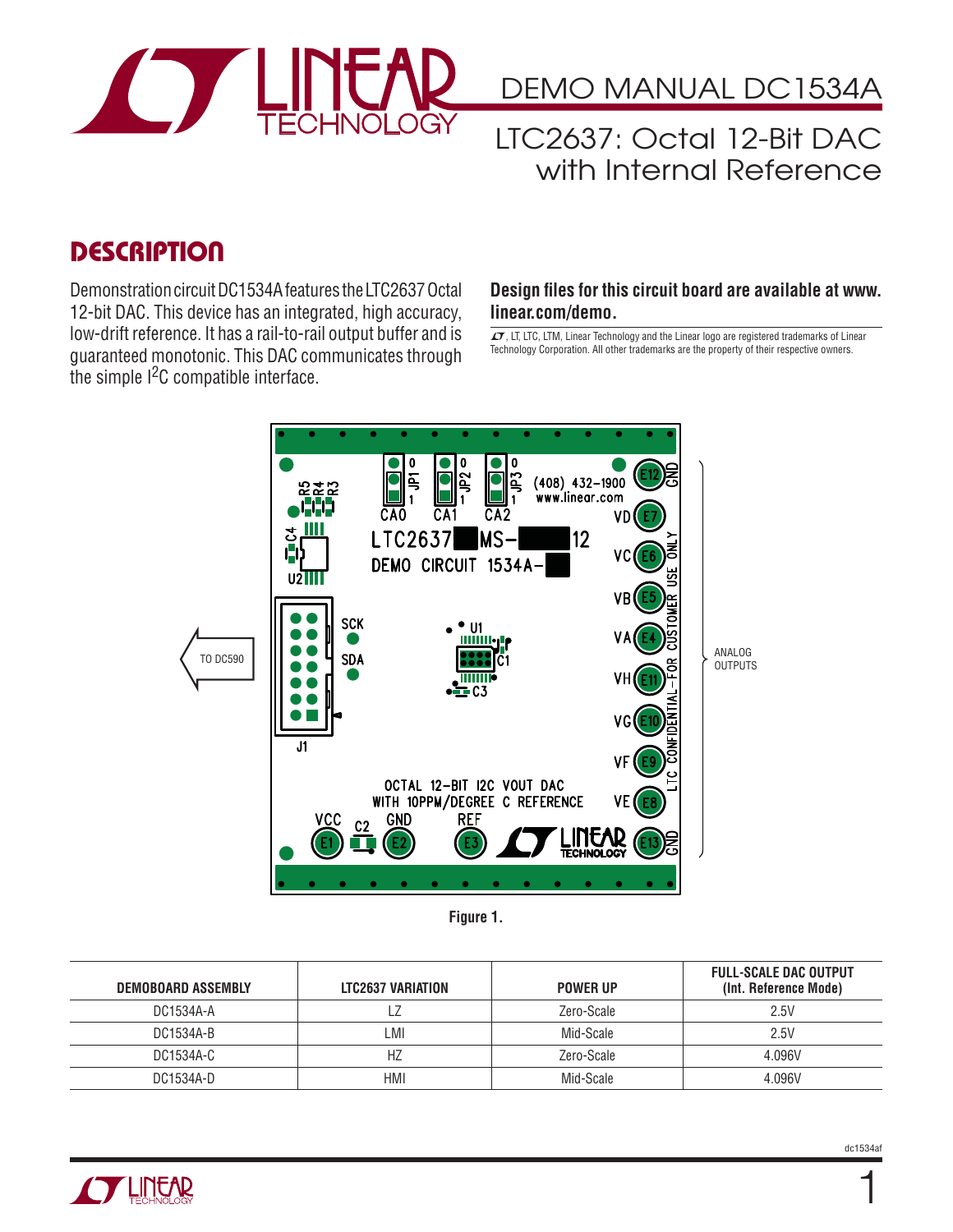

DEMO MANUAL DC1534A

## LTC2637: Octal 12-Bit DAC with Internal Reference

## **DESCRIPTION**

Demonstration circuit DC1534A features the LTC2637 Octal 12-bit DAC. This device has an integrated, high accuracy, low-drift reference. It has a rail-to-rail output buffer and is guaranteed monotonic. This DAC communicates through the simple I<sup>2</sup>C compatible interface.

#### **Design files for this circuit board are available at www. linear.com/demo.**

 $LT$ , LT, LTC, LTM, Linear Technology and the Linear logo are registered trademarks of Linear Technology Corporation. All other trademarks are the property of their respective owners.



**Figure 1.**

| DEMOBOARD ASSEMBLY | LTC2637 VARIATION | <b>POWER UP</b> | <b>FULL-SCALE DAC OUTPUT</b><br>(Int. Reference Mode) |
|--------------------|-------------------|-----------------|-------------------------------------------------------|
| DC1534A-A          |                   | Zero-Scale      | 2.5V                                                  |
| DC1534A-B          | _MI               | Mid-Scale       | 2.5V                                                  |
| DC1534A-C          | HZ                | Zero-Scale      | 4.096V                                                |
| DC1534A-D          | <b>HMI</b>        | Mid-Scale       | 4.096V                                                |



1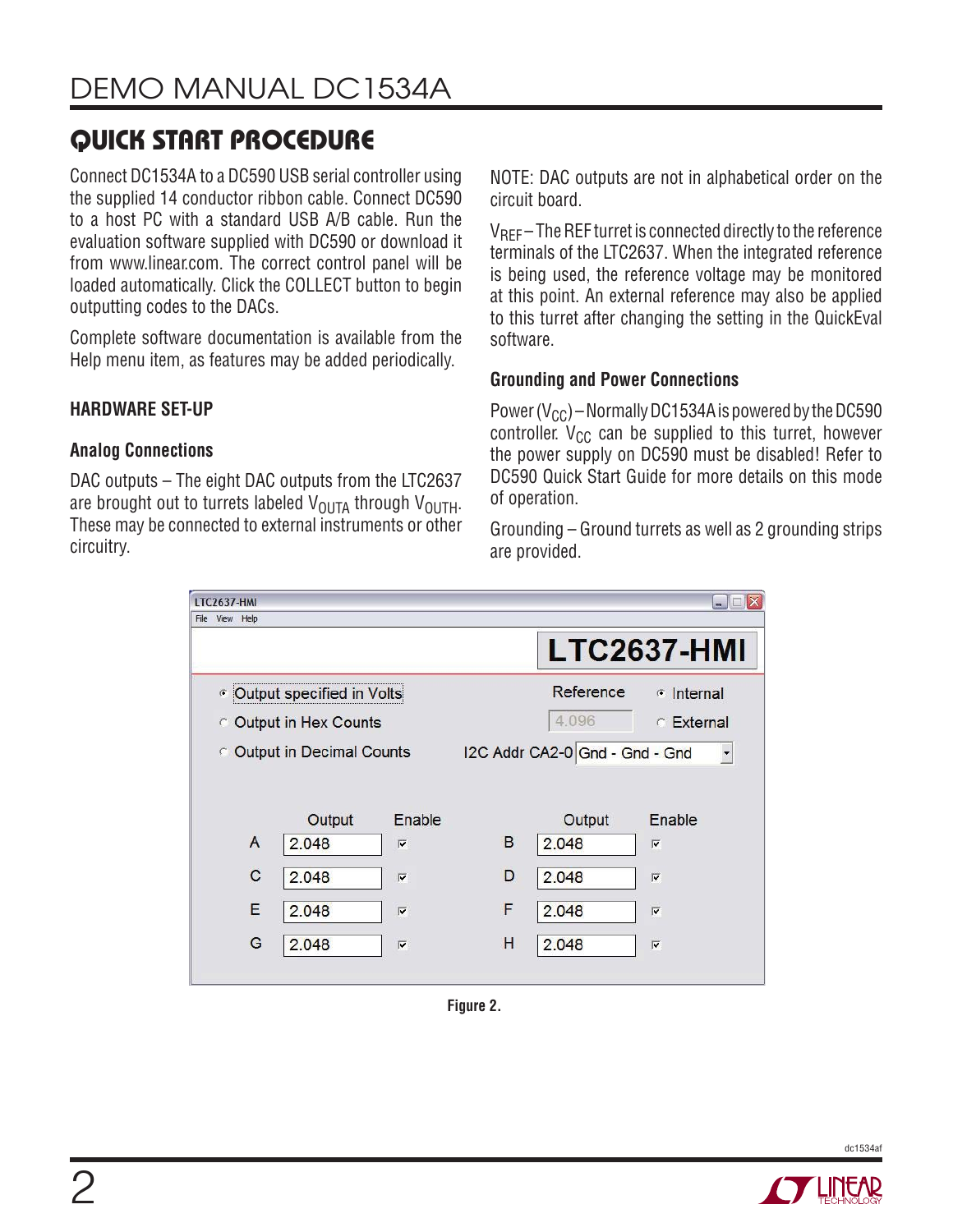# **QUICK START PROCEDURE**

Connect DC1534A to a DC590 USB serial controller using the supplied 14 conductor ribbon cable. Connect DC590 to a host PC with a standard USB A/B cable. Run the evaluation software supplied with DC590 or download it from www.linear.com. The correct control panel will be loaded automatically. Click the COLLECT button to begin outputting codes to the DACs.

Complete software documentation is available from the Help menu item, as features may be added periodically.

### **HARDWARE SET-UP**

### **Analog Connections**

DAC outputs – The eight DAC outputs from the LTC2637 are brought out to turrets labeled  $V_{\text{OUTA}}$  through  $V_{\text{OUTH}}$ . These may be connected to external instruments or other circuitry.

NOTE: DAC outputs are not in alphabetical order on the circuit board.

 $V_{\text{RFF}}$  – The REF turret is connected directly to the reference terminals of the LTC2637. When the integrated reference is being used, the reference voltage may be monitored at this point. An external reference may also be applied to this turret after changing the setting in the QuickEval software.

#### **Grounding and Power Connections**

Power ( $V_{CC}$ ) – Normally DC1534A is powered by the DC590 controller.  $V_{CC}$  can be supplied to this turret, however the power supply on DC590 must be disabled! Refer to DC590 Quick Start Guide for more details on this mode of operation.

Grounding – Ground turrets as well as 2 grounding strips are provided.

| $ \Box$ $X$<br><b>LTC2637-HMI</b> |        |                         |                                                            |                     |                         |  |  |
|-----------------------------------|--------|-------------------------|------------------------------------------------------------|---------------------|-------------------------|--|--|
| View Help<br>File                 |        |                         |                                                            |                     |                         |  |  |
|                                   |        |                         |                                                            |                     | <b>LTC2637-HMI</b>      |  |  |
| <b>Coutput specified in Volts</b> |        |                         | Reference                                                  | $\epsilon$ Internal |                         |  |  |
| C Output in Hex Counts            |        |                         |                                                            | 4.096               | $\in$ External          |  |  |
| <b>C</b> Output in Decimal Counts |        |                         | I2C Addr CA2-0 Gnd - Gnd - Gnd<br>$\overline{\phantom{a}}$ |                     |                         |  |  |
|                                   |        |                         |                                                            |                     |                         |  |  |
|                                   | Output | Enable                  |                                                            | Output              | Enable                  |  |  |
| A                                 | 2.048  | $\overline{\mathbf{v}}$ | B                                                          | 2.048               | $\overline{\mathbf{v}}$ |  |  |
| C                                 | 2.048  | $\overline{\mathbf{v}}$ | D                                                          | 2.048               | $\overline{\mathbf{v}}$ |  |  |
| E                                 | 2.048  | $\overline{\mathbf{v}}$ | F                                                          | 2.048               | $\overline{\mathbf{v}}$ |  |  |
| G                                 | 2.048  | $\overline{\mathbf{v}}$ | Н                                                          | 2.048               | $\overline{\mathbf{v}}$ |  |  |
|                                   |        |                         |                                                            |                     |                         |  |  |

**Figure 2.**



dc1534af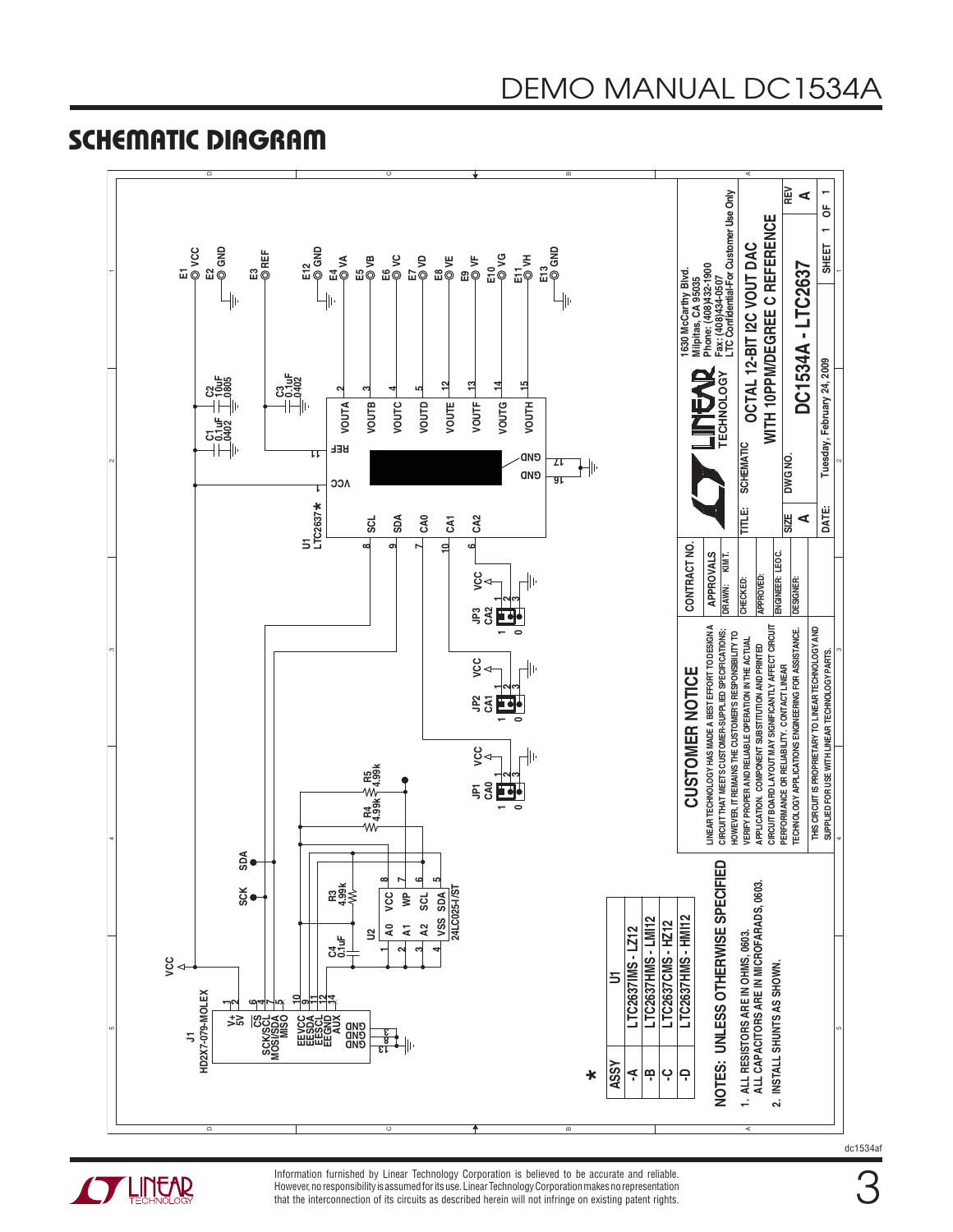### **SCHEMATIC DIAGRAM**





**THITEAR** 

Information furnished by Linear Technology Corporation is believed to be accurate and reliable. However, no responsibility is assumed for its use. Linear Technology Corporation makes no representation that the interconnection of its circuits as described herein will not infringe on existing patent rights.

dc1534af

3